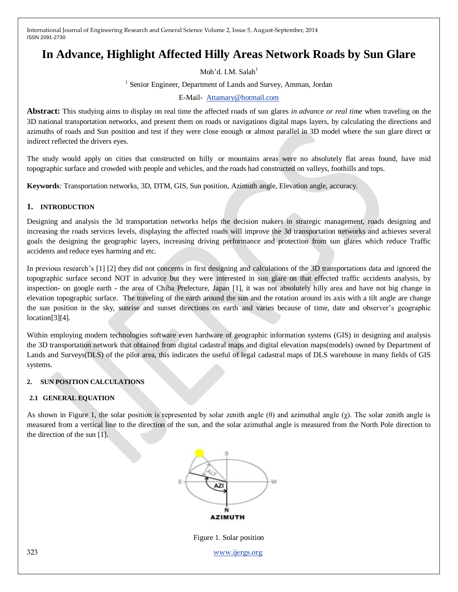# **In Advance, Highlight Affected Hilly Areas Network Roads by Sun Glare**

Moh'd. I.M. Salah $<sup>1</sup>$ </sup>

<sup>1</sup> Senior Engineer, Department of Lands and Survey, Amman, Jordan

#### E-Mail- [Attamary@hotmail.com](mailto:Attamary@hotmail.com)

**Abstract:** This studying aims to display on real time the affected roads of sun glares *in advance or real time* when traveling on the 3D national transportation networks, and present them on roads or navigations digital maps layers, by calculating the directions and azimuths of roads and Sun position and test if they were close enough or almost parallel in 3D model where the sun glare direct or indirect reflected the drivers eyes.

The study would apply on cities that constructed on hilly or mountains areas were no absolutely flat areas found, have mid topographic surface and crowded with people and vehicles, and the roads had constructed on valleys, foothills and tops.

**Keywords***:* Transportation networks, 3D, DTM, GIS, Sun position, Azimuth angle, Elevation angle, accuracy.

#### **1. INTRODUCTION**

Designing and analysis the 3d transportation networks helps the decision makers in strategic management, roads designing and increasing the roads services levels, displaying the affected roads will improve the 3d transportation networks and achieves several goals the designing the geographic layers, increasing driving performance and protection from sun glares which reduce Traffic accidents and reduce eyes harming and etc.

In previous research's [1] [2] they did not concerns in first designing and calculations of the 3D transportations data and ignored the topographic surface second NOT in advance but they were interested in sun glare on that effected traffic accidents analysis, by inspection- on google earth - the area of Chiba Prefecture, Japan [1], it was not absolutely hilly area and have not big change in elevation topographic surface. The traveling of the earth around the sun and the rotation around its axis with a tilt angle are change the sun position in the sky, sunrise and sunset directions on earth and varies because of time, date and observer's geographic location[3][4].

Within employing modern technologies software even hardware of geographic information systems (GIS) in designing and analysis the 3D transportation network that obtained from digital cadastral maps and digital elevation maps(models) owned by Department of Lands and Surveys(DLS) of the pilot area, this indicates the useful of legal cadastral maps of DLS warehouse in many fields of GIS systems.

#### **2. SUN POSITION CALCULATIONS**

#### **2.1 GENERAL EQUATION**

As shown in Figure 1, the solar position is represented by solar zenith angle  $(\theta)$  and azimuthal angle  $(\chi)$ . The solar zenith angle is measured from a vertical line to the direction of the sun, and the solar azimuthal angle is measured from the North Pole direction to the direction of the sun  $\overline{11}$ .



323 [www.ijergs.org](http://www.ijergs.org/) Figure 1. Solar position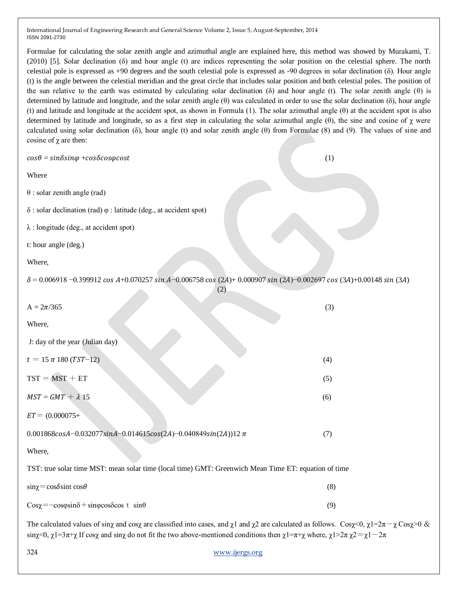Formulae for calculating the solar zenith angle and azimuthal angle are explained here, this method was showed by Murakami, T. (2010) [5]. Solar declination (δ) and hour angle (t) are indices representing the solar position on the celestial sphere. The north celestial pole is expressed as +90 degrees and the south celestial pole is expressed as -90 degrees in solar declination (δ). Hour angle (t) is the angle between the celestial meridian and the great circle that includes solar position and both celestial poles. The position of the sun relative to the earth was estimated by calculating solar declination (δ) and hour angle (t). The solar zenith angle (θ) is determined by latitude and longitude, and the solar zenith angle (θ) was calculated in order to use the solar declination (δ), hour angle (t) and latitude and longitude at the accident spot, as shown in Formula (1). The solar azimuthal angle (θ) at the accident spot is also determined by latitude and longitude, so as a first step in calculating the solar azimuthal angle (θ), the sine and cosine of  $\chi$  were calculated using solar declination  $(\delta)$ , hour angle  $(t)$  and solar zenith angle  $(\theta)$  from Formulae  $(8)$  and  $(9)$ . The values of sine and cosine of  $χ$  are then:

| $cos\theta = sin\delta sin\varphi + cos\delta cos\varphi cost$                                                                    | (1) |
|-----------------------------------------------------------------------------------------------------------------------------------|-----|
| Where                                                                                                                             |     |
| $\theta$ : solar zenith angle (rad)                                                                                               |     |
| $\delta$ : solar declination (rad) $\varphi$ : latitude (deg., at accident spot)                                                  |     |
| $\lambda$ : longitude (deg., at accident spot)                                                                                    |     |
| t: hour angle (deg.)                                                                                                              |     |
| Where,                                                                                                                            |     |
| $\delta$ = 0.006918 -0.399912 cos A+0.070257 sin A-0.006758 cos (2A)+ 0.000907 sin (2A)-0.002697 cos (3A)+0.00148 sin (3A)<br>(2) |     |
| $A = 2\pi/365$                                                                                                                    | (3) |
| Where,                                                                                                                            |     |
| J: day of the year (Julian day)                                                                                                   |     |
| $t = 15 \pi 180 (TST-12)$                                                                                                         | (4) |
| $TST = MST + ET$                                                                                                                  | (5) |
| $MST = GMT + \lambda 15$                                                                                                          | (6) |
| $ET = (0.000075 +$                                                                                                                |     |
| 0.001868cosA-0.032077sinA-0.014615cos(2A)-0.040849sin(2A))12 $\pi$                                                                | (7) |
| Where,                                                                                                                            |     |
| TST: true solar time MST: mean solar time (local time) GMT: Greenwich Mean Time ET: equation of time                              |     |
| $\sin \chi = \cos \delta \sin t \cos \theta$                                                                                      | (8) |
| $Cos\chi = -cos\varphi sin\delta + sin\varphi cos\delta cos t sin\theta$                                                          | (9) |

The calculated values of sinx and cosx are classified into cases, and  $\chi$ 1 and  $\chi$ 2 are calculated as follows. Cosx = 0,  $\chi$ 1=2 $\pi$  - $\chi$ Cos $\chi$ >0 & sinχ<0,  $\chi$ 1=3π+χ If cosχ and sinχ do not fit the two above-mentioned conditions then  $\chi$ 1=π+χ where,  $\chi$ 1>2π  $\chi$ 2= $\chi$ 1 - 2π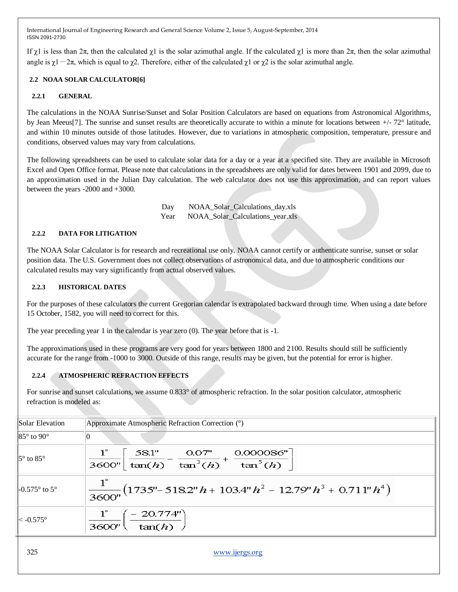If  $\gamma$ 1 is less than  $2\pi$ , then the calculated  $\gamma$ 1 is the solar azimuthal angle. If the calculated  $\gamma$ 1 is more than  $2\pi$ , then the solar azimuthal angle is  $\chi$ 1-2π, which is equal to  $\chi$ 2. Therefore, either of the calculated  $\chi$ 1 or  $\chi$ 2 is the solar azimuthal angle.

#### **2.2 NOAA SOLAR CALCULATOR[6]**

#### **2.2.1 GENERAL**

The calculations in the NOAA Sunrise/Sunset and Solar Position Calculators are based on equations from Astronomical Algorithms, by Jean Meeus[7]. The sunrise and sunset results are theoretically accurate to within a minute for locations between +/- 72° latitude, and within 10 minutes outside of those latitudes. However, due to variations in atmospheric composition, temperature, pressure and conditions, observed values may vary from calculations.

The following spreadsheets can be used to calculate solar data for a day or a year at a specified site. They are available in Microsoft Excel and Open Office format. Please note that calculations in the spreadsheets are only valid for dates between 1901 and 2099, due to an approximation used in the Julian Day calculation. The web calculator does not use this approximation, and can report values between the years -2000 and +3000.

> Day NOAA Solar Calculations day.xls Year NOAA\_Solar\_Calculations\_year.xls

#### **2.2.2 DATA FOR LITIGATION**

The NOAA Solar Calculator is for research and recreational use only. NOAA cannot certify or authenticate sunrise, sunset or solar position data. The U.S. Government does not collect observations of astronomical data, and due to atmospheric conditions our calculated results may vary significantly from actual observed values.

#### **2.2.3 HISTORICAL DATES**

For the purposes of these calculators the current [Gregorian calendar](http://www.esrl.noaa.gov/gmd/grad/solcalc/glossary.html#gregoriancalendar) is extrapolated backward through time. When using a date before 15 October, 1582, you will need to correct for this.

The year preceding year 1 in the calendar is year zero (0). The year before that is -1.

The approximations used in these programs are very good for years between 1800 and 2100. Results should still be sufficiently accurate for the range from -1000 to 3000. Outside of this range, results may be given, but the potential for error is higher.

#### **2.2.4 ATMOSPHERIC REFRACTION EFFECTS**

For sunrise and sunset calculations, we assume  $0.833^{\circ}$  of [atmospheric refraction.](http://www.esrl.noaa.gov/gmd/grad/solcalc/glossary.html#atmosphericrefraction) In the solar position calculator, atmospheric refraction is modeled as:

| Approximate Atmospheric Refraction Correction (°)                                                                |  |  |  |  |  |  |
|------------------------------------------------------------------------------------------------------------------|--|--|--|--|--|--|
| Ю                                                                                                                |  |  |  |  |  |  |
| 58.1"<br>0.000086''<br>0.07''<br>$\frac{1}{3600''}\frac{1}{\tan(h)} - \frac{1}{\tan^3(h)} + \frac{1}{\tan^5(h)}$ |  |  |  |  |  |  |
| $\frac{1^{\circ}}{3600''}(1735'' - 5182'' h + 103.4'' h^{2} - 12.79'' h^{3} + 0.711'' h^{4})$                    |  |  |  |  |  |  |
| $-20.774"$<br>tan(h)<br>3600''                                                                                   |  |  |  |  |  |  |
|                                                                                                                  |  |  |  |  |  |  |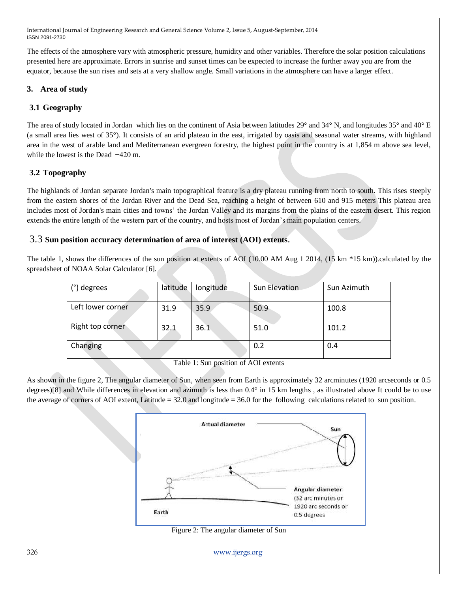The effects of the atmosphere vary with atmospheric pressure, humidity and other variables. Therefore the solar position calculations presented here are approximate. Errors in sunrise and sunset times can be expected to increase the further away you are from the equator, because the sun rises and sets at a very shallow angle. Small variations in the atmosphere can have a larger effect.

### **3. Area of study**

### **3.1 Geography**

The area of study located in Jordan which lies on the continent of Asia between latitudes [29°](http://en.wikipedia.org/wiki/29th_parallel_north) and [34° N,](http://en.wikipedia.org/wiki/34th_parallel_north) and longitudes [35°](http://en.wikipedia.org/wiki/35th_meridian_east) and [40° E](http://en.wikipedia.org/wiki/40th_meridian_east) (a small area lies west of 35°). It consists of an arid plateau in the east, irrigated by oasis and seasonal water streams, with highland area in the west of arable land and Mediterranean evergreen forestry, the highest point in the country is at 1,854 m above sea level, while the lowest is the [Dead](http://en.wikipedia.org/wiki/Dead_Sea) −420 m.

### **3.2 Topography**

The highlands of Jordan separate Jordan's main topographical feature is a dry plateau running from north to south. This rises steeply from the eastern shores of the Jordan River and the Dead Sea, reaching a height of between 610 and 915 meters This plateau area includes most of Jordan's main cities and towns' the Jordan Valley and its margins from the plains of the eastern desert. This region extends the entire length of the western part of the country, and hosts most of Jordan's main population centers.

#### 3.3 **Sun position accuracy determination of area of interest (AOI) extents**.

The table 1, shows the differences of the sun position at extents of AOI (10.00 AM Aug 1 2014, (15 km \*15 km)).calculated by the spreadsheet of NOAA Solar Calculator [6].

| (°) degrees       | latitude | longitude | Sun Elevation | Sun Azimuth |
|-------------------|----------|-----------|---------------|-------------|
| Left lower corner | 31.9     | 35.9      | 50.9          | 100.8       |
| Right top corner  | 32.1     | 36.1      | 51.0          | 101.2       |
| Changing          |          |           | 0.2           | 0.4         |

Table 1: Sun position of AOI extents

As shown in the figure 2, The angular diameter of Sun, when seen from Earth is approximately 32 arcminutes (1920 arcseconds or 0.5 degrees)[8] and While differences in elevation and azimuth is less than 0.4° in 15 km lengths , as illustrated above It could be to use the average of corners of AOI extent, Latitude  $= 32.0$  and longitude  $= 36.0$  for the following calculations related to sun position.



Figure 2: The angular diameter of Sun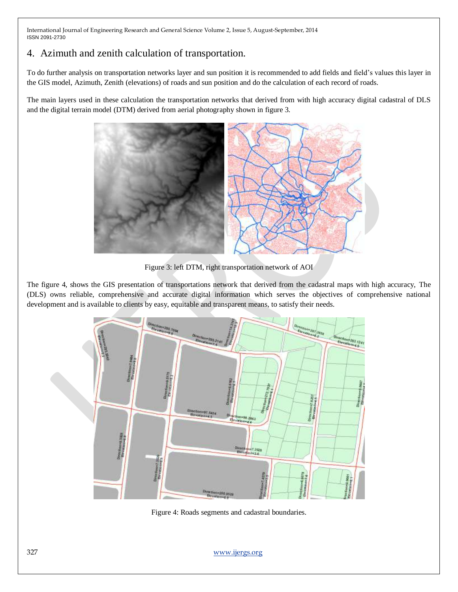## 4. Azimuth and zenith calculation of transportation.

To do further analysis on transportation networks layer and sun position it is recommended to add fields and field's values this layer in the GIS model, Azimuth, Zenith (elevations) of roads and sun position and do the calculation of each record of roads.

The main layers used in these calculation the transportation networks that derived from with high accuracy digital cadastral of DLS and the digital terrain model (DTM) derived from aerial photography shown in figure 3.



Figure 3: left DTM, right transportation network of AOI

The figure 4, shows the GIS presentation of transportations network that derived from the cadastral maps with high accuracy, The (DLS) owns reliable, comprehensive and accurate digital information which serves the objectives of comprehensive national development and is available to clients by easy, equitable and transparent means, to satisfy their needs.



Figure 4: Roads segments and cadastral boundaries.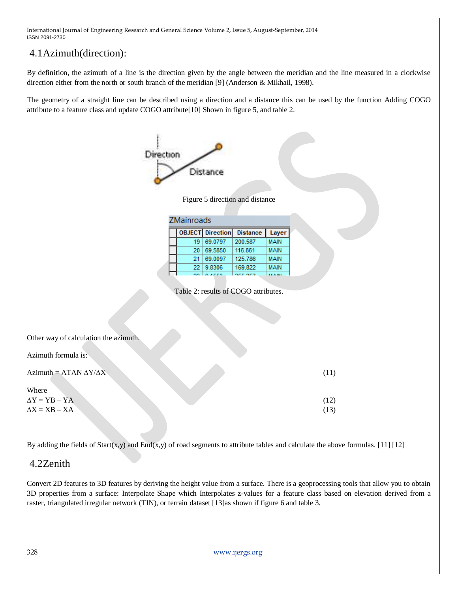# 4.1Azimuth(direction):

By definition, the azimuth of a line is the direction given by the angle between the meridian and the line measured in a clockwise direction either from the north or south branch of the meridian [9] (Anderson & Mikhail, 1998).

The geometry of a straight line can be described using a direction and a distance this can be used by the function Adding COGO attribute to a feature class and update COGO attribute[10] Shown in figure 5, and table 2.



Figure 5 direction and distance

| <b>ZMainroads</b> |                         |                 |             |  |  |  |  |  |  |
|-------------------|-------------------------|-----------------|-------------|--|--|--|--|--|--|
|                   | <b>OBJECT</b> Direction | <b>Distance</b> | Layer       |  |  |  |  |  |  |
| 19                | 69.0797                 | 200.587         | MAIN        |  |  |  |  |  |  |
| 20                | 69.5850                 | 116,861         | <b>MAIN</b> |  |  |  |  |  |  |
| 21                | 69.0097                 | 125.786         | MAIN        |  |  |  |  |  |  |
| 22                | 9.8306                  | 169.822         | <b>MAIN</b> |  |  |  |  |  |  |
|                   | .                       | arr ars         | A. 11.1     |  |  |  |  |  |  |

Table 2: results of COGO attributes.

| Other way of calculation the azimuth. |      |
|---------------------------------------|------|
| Azimuth formula is:                   |      |
| Azimuth = ATAN $\Delta Y/\Delta X$    | (11) |
| Where                                 |      |
| $\Delta Y = YB - YA$                  | (12) |
| $\Delta X = XB - XA$                  | (13) |

By adding the fields of  $Start(x,y)$  and  $End(x,y)$  of road segments to attribute tables and calculate the above formulas. [11] [12]

## 4.2Zenith

Convert 2D features to 3D features by deriving the height value from a surface. There is a geoprocessing tools that allow you to obtain 3D properties from a surface: [Interpolate Shape](http://resources.arcgis.com/en/help/main/10.1/00q9/00q90000006m000000.htm) which Interpolates z-values for a feature class based on elevation derived from a raster, triangulated irregular network (TIN), or terrain dataset [13]as shown if figure 6 and table 3.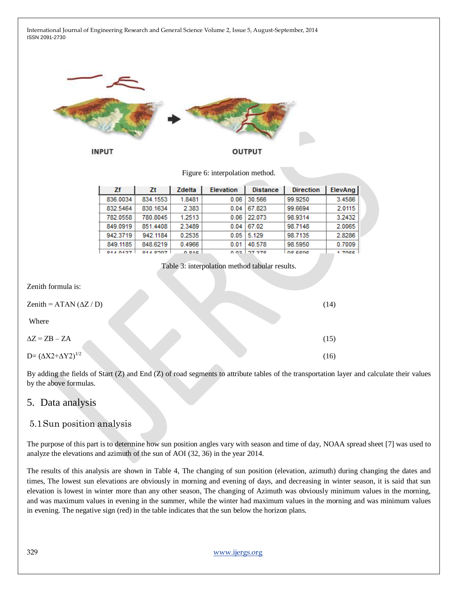International Journal of Engineering Research and General Science Volume 2, Issue 5, August-September, 2014 ISSN 2091-2730 **INPUT OUTPUT** Figure 6: interpolation method. ElevAng Zf Zt Zdelta **Elevation Distance Direction** 836.0034 834.1553 1.8481  $0.06$ 30.566 99.9250 3.4586 2.383 832.5464 830.1634  $0.04$  67.823 99.6694 2.0115 780.8045 1.2513  $0.06$ 22.073 98.9314 3.2432 782.0558 849.0919 851.4408 2.3489 98.7148 2.0065  $0.04$  67.02 942.3719 942.1184 0.2535  $0.05$  5.129 98.7135 2.8286 849.1185 848.6219 0.4966  $0.01$  40.578 98.5950 0.7009 044 8497 04.4.0007 0.040 סדפילר בחת no cene  $1.700E$ Table 3: interpolation method tabular results. Zenith formula is:  $\text{Zenith} = \text{ATAN} (\Delta Z / D)$  (14) Where  $\Delta Z = ZB - ZA$  (15)  $D = (\Delta X 2 + \Delta Y 2)^{1/2}$  (16) By adding the fields of Start (Z) and End (Z) of road segments to attribute tables of the transportation layer and calculate their values by the above formulas.

## 5. Data analysis

## 5.1Sun position analysis

The purpose of this part is to determine how sun position angles vary with season and time of day, NOAA spread sheet [7] was used to analyze the elevations and azimuth of the sun of AOI (32, 36) in the year 2014.

The results of this analysis are shown in Table 4, The changing of sun position (elevation, azimuth) during changing the dates and times, The lowest sun elevations are obviously in morning and evening of days, and decreasing in winter season, it is said that sun elevation is lowest in winter more than any other season, The changing of Azimuth was obviously minimum values in the morning, and was maximum values in evening in the summer, while the winter had maximum values in the morning and was minimum values in evening. The negative sign (red) in the table indicates that the sun below the horizon plans.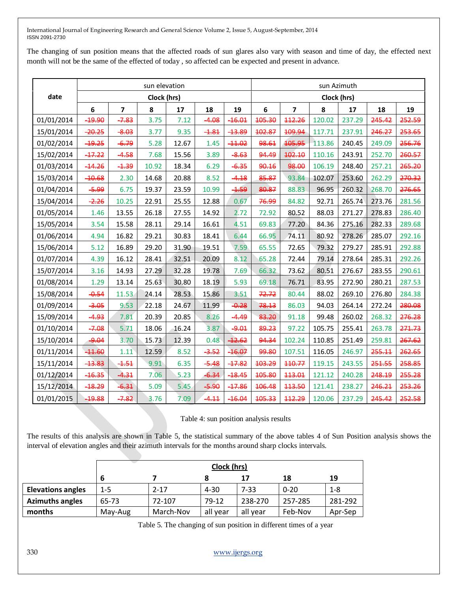The changing of sun position means that the affected roads of sun glares also vary with season and time of day, the effected next month will not be the same of the effected of today , so affected can be expected and present in advance.

|            | sun elevation |                         |       |       |         |               | sun Azimuth |                         |        |        |        |        |
|------------|---------------|-------------------------|-------|-------|---------|---------------|-------------|-------------------------|--------|--------|--------|--------|
| date       | Clock (hrs)   |                         |       |       |         |               | Clock (hrs) |                         |        |        |        |        |
|            | 6             | $\overline{\mathbf{z}}$ | 8     | 17    | 18      | 19            | $\bf 6$     | $\overline{\mathbf{z}}$ | 8      | 17     | 18     | 19     |
| 01/01/2014 | -19.90        | $-7.83$                 | 3.75  | 7.12  | $-4.08$ | $-16.01$      | 105.30      | 112.26                  | 120.02 | 237.29 | 245.42 | 252.59 |
| 15/01/2014 | $-20.25$      | $-8.03$                 | 3.77  | 9.35  | $-1.81$ | <b>-13.89</b> | 102.87      | 109.94                  | 117.71 | 237.91 | 246.27 | 253.65 |
| 01/02/2014 | -19.25        | $-6.79$                 | 5.28  | 12.67 | 1.45    | $-11.02$      | 98.61       | 105.95                  | 113.86 | 240.45 | 249.09 | 256.76 |
| 15/02/2014 | $-17.22$      | $-4.58$                 | 7.68  | 15.56 | 3.89    | $-8.63$       | 94.49       | 102.10                  | 110.16 | 243.91 | 252.70 | 260.57 |
| 01/03/2014 | $-14.26$      | $-1.39$                 | 10.92 | 18.34 | 6.29    | $-6.35$       | 90.16       | 98.00                   | 106.19 | 248.40 | 257.21 | 265.20 |
| 15/03/2014 | <b>40.68</b>  | 2.30                    | 14.68 | 20.88 | 8.52    | $-4.18$       | 85.87       | 93.84                   | 102.07 | 253.60 | 262.29 | 270.32 |
| 01/04/2014 | -5.99         | 6.75                    | 19.37 | 23.59 | 10.99   | $-1.59$       | 80.87       | 88.83                   | 96.95  | 260.32 | 268.70 | 276.65 |
| 15/04/2014 | $-2.26$       | 10.25                   | 22.91 | 25.55 | 12.88   | 0.67          | 76.99       | 84.82                   | 92.71  | 265.74 | 273.76 | 281.56 |
| 01/05/2014 | 1.46          | 13.55                   | 26.18 | 27.55 | 14.92   | 2.72          | 72.92       | 80.52                   | 88.03  | 271.27 | 278.83 | 286.40 |
| 15/05/2014 | 3.54          | 15.58                   | 28.11 | 29.14 | 16.61   | 4.51          | 69.83       | 77.20                   | 84.36  | 275.16 | 282.33 | 289.68 |
| 01/06/2014 | 4.94          | 16.82                   | 29.21 | 30.83 | 18.41   | 6.44          | 66.95       | 74.11                   | 80.92  | 278.26 | 285.07 | 292.16 |
| 15/06/2014 | 5.12          | 16.89                   | 29.20 | 31.90 | 19.51   | 7.59          | 65.55       | 72.65                   | 79.32  | 279.27 | 285.91 | 292.88 |
| 01/07/2014 | 4.39          | 16.12                   | 28.41 | 32.51 | 20.09   | 8.12          | 65.28       | 72.44                   | 79.14  | 278.64 | 285.31 | 292.26 |
| 15/07/2014 | 3.16          | 14.93                   | 27.29 | 32.28 | 19.78   | 7.69          | 66.32       | 73.62                   | 80.51  | 276.67 | 283.55 | 290.61 |
| 01/08/2014 | 1.29          | 13.14                   | 25.63 | 30.80 | 18.19   | 5.93          | 69.18       | 76.71                   | 83.95  | 272.90 | 280.21 | 287.53 |
| 15/08/2014 | $-0.54$       | 11.53                   | 24.14 | 28.53 | 15.86   | 3.51          | 72.72       | 80.44                   | 88.02  | 269.10 | 276.80 | 284.38 |
| 01/09/2014 | $-3.05$       | 9.53                    | 22.18 | 24.67 | 11.99   | $-0.28$       | 78.13       | 86.03                   | 94.03  | 264.14 | 272.24 | 280.08 |
| 15/09/2014 | -4.93         | 7.81                    | 20.39 | 20.85 | 8.26    | $-4.49$       | 83.20       | 91.18                   | 99.48  | 260.02 | 268.32 | 276.28 |
| 01/10/2014 | $-7.08$       | 5.71                    | 18.06 | 16.24 | 3.87    | $-9.01$       | 89.23       | 97.22                   | 105.75 | 255.41 | 263.78 | 271.73 |
| 15/10/2014 | $-9.04$       | 3.70                    | 15.73 | 12.39 | 0.48    | $-12.62$      | 94.34       | 102.24                  | 110.85 | 251.49 | 259.81 | 267.62 |
| 01/11/2014 | $-11.60$      | 1.11                    | 12.59 | 8.52  | $-3.52$ | $-16.07$      | 99.80       | 107.51                  | 116.05 | 246.97 | 255.11 | 262.65 |
| 15/11/2014 | $-13.83$      | $-1.51$                 | 9.91  | 6.35  | $-5.48$ | $-17.82$      | 103.29      | 110.77                  | 119.15 | 243.55 | 251.55 | 258.85 |
| 01/12/2014 | $-16.35$      | $-4.31$                 | 7.06  | 5.23  | $-6.34$ | $-18.45$      | 105.80      | 443.04                  | 121.12 | 240.28 | 248.19 | 255.28 |
| 15/12/2014 | <b>-18.29</b> | 6.31                    | 5.09  | 5.45  | $-5.90$ | $-17.86$      | 106.48      | 113.50                  | 121.41 | 238.27 | 246.21 | 253.26 |
| 01/01/2015 | 19.88         | $-7.82$                 | 3.76  | 7.09  | $-4.11$ | $-16.04$      | 105.33      | 112.29                  | 120.06 | 237.29 | 245.42 | 252.58 |

#### Table 4: sun position analysis results

The results of this analysis are shown in Table 5, the statistical summary of the above tables 4 of Sun Position analysis shows the interval of elevation angles and their azimuth intervals for the months around sharp clocks intervals.

|                          |         | Clock (hrs) |          |          |          |         |  |  |
|--------------------------|---------|-------------|----------|----------|----------|---------|--|--|
|                          | 6       |             | 8        | 17       | 18       | 19      |  |  |
| <b>Elevations angles</b> | $1 - 5$ | $2 - 17$    | $4 - 30$ | $7 - 33$ | $0 - 20$ | $1 - 8$ |  |  |
| <b>Azimuths angles</b>   | 65-73   | 72-107      | 79-12    | 238-270  | 257-285  | 281-292 |  |  |
| months                   | May-Aug | March-Nov   | all year | all year | Feb-Nov  | Apr-Sep |  |  |

Table 5. The changing of sun position in different times of a year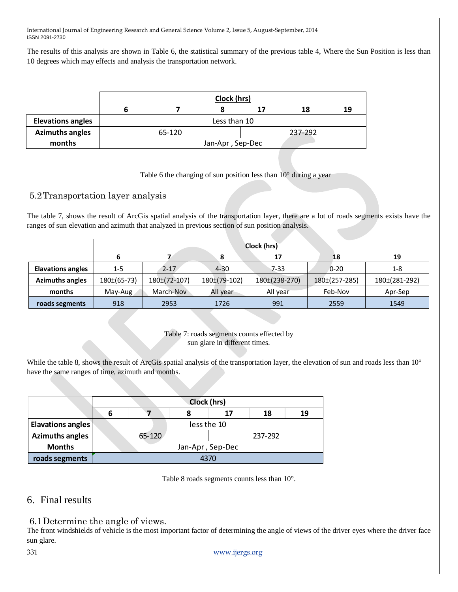The results of this analysis are shown in Table 6, the statistical summary of the previous table 4, Where the Sun Position is less than 10 degrees which may effects and analysis the transportation network.

|                          | Clock (hrs) |        |                  |         |    |    |  |
|--------------------------|-------------|--------|------------------|---------|----|----|--|
|                          |             |        |                  | 17      | 18 | 19 |  |
| <b>Elevations angles</b> |             |        | Less than 10     |         |    |    |  |
| <b>Azimuths angles</b>   |             | 65-120 |                  | 237-292 |    |    |  |
| months                   |             |        | Jan-Apr, Sep-Dec |         |    |    |  |

Table 6 the changing of sun position less than 10° during a year

## 5.2Transportation layer analysis

The table 7, shows the result of ArcGis spatial analysis of the transportation layer, there are a lot of roads segments exists have the ranges of sun elevation and azimuth that analyzed in previous section of sun position analysis.

|                          |                 |                  | 17           | 18            | 19                |               |
|--------------------------|-----------------|------------------|--------------|---------------|-------------------|---------------|
| <b>Elavations angles</b> | $1 - 5$         | $2 - 17$         | $4 - 30$     | $7 - 33$      | $0 - 20$          | $1 - 8$       |
| <b>Azimuths angles</b>   | $180\pm(65-73)$ | $180\pm(72-107)$ | 180±(79-102) | 180±(238-270) | $180\pm(257-285)$ | 180±(281-292) |
| months                   | May-Aug         | March-Nov        | All year     | All year      | Feb-Nov           | Apr-Sep       |
| roads segments           | 918             | 2953             | 1726         | 991           | 2559              | 1549          |

Table 7: roads segments counts effected by sun glare in different times.

While the table 8, shows the result of ArcGis spatial analysis of the transportation layer, the elevation of sun and roads less than 10° have the same ranges of time, azimuth and months.

|                          |   | Clock (hrs)      |      |    |         |    |  |  |  |  |
|--------------------------|---|------------------|------|----|---------|----|--|--|--|--|
|                          | 6 |                  |      | 17 | 18      | 19 |  |  |  |  |
| <b>Elavations angles</b> |   | less the 10      |      |    |         |    |  |  |  |  |
| <b>Azimuths angles</b>   |   | 65-120           |      |    | 237-292 |    |  |  |  |  |
| <b>Months</b>            |   | Jan-Apr, Sep-Dec |      |    |         |    |  |  |  |  |
| roads segments           |   |                  | 4370 |    |         |    |  |  |  |  |

Table 8 roads segments counts less than 10°.

## 6. Final results

6.1Determine the angle of views.

The front windshields of vehicle is the most important factor of determining the angle of views of the driver eyes where the driver face sun glare.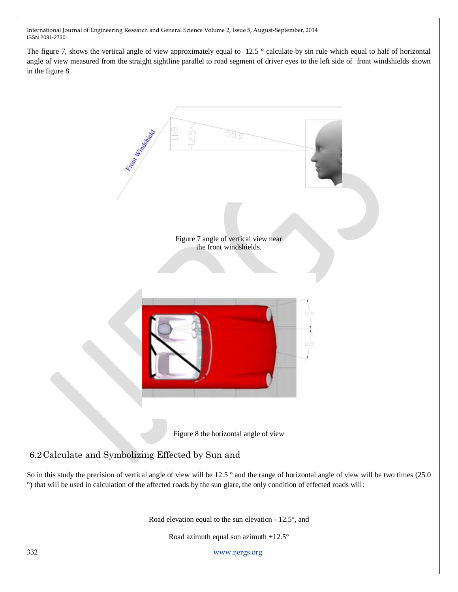The figure 7, shows the vertical angle of view approximately equal to  $12.5$  ° calculate by sin rule which equal to half of horizontal angle of view measured from the straight sightline parallel to road segment of driver eyes to the left side of front windshields shown in the figure 8.

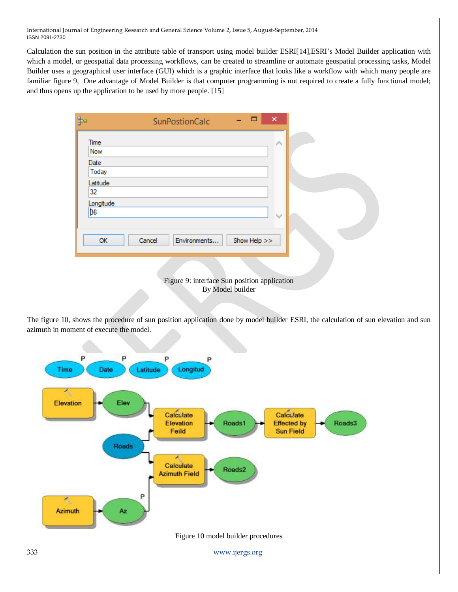Calculation the sun position in the attribute table of transport using model builder ESRI[14],ESRI's Model Builder application with which a model, or geospatial data processing workflows, can be created to streamline or automate geospatial processing tasks, Model Builder uses a geographical user interface (GUI) which is a graphic interface that looks like a workflow with which many people are familiar figure 9, One advantage of Model Builder is that computer programming is not required to create a fully functional model; and thus opens up the application to be used by more people. [15]

|           | <b>SunPostionCalc</b>                        | - | □            | $\times$ |  |
|-----------|----------------------------------------------|---|--------------|----------|--|
| Time      |                                              |   |              | ∧        |  |
| Now       |                                              |   |              |          |  |
| Date      |                                              |   |              |          |  |
| Today     |                                              |   |              |          |  |
| Latitude  |                                              |   |              |          |  |
| 32        |                                              |   |              |          |  |
| Longitude |                                              |   |              |          |  |
| <b>B6</b> |                                              |   |              | w        |  |
|           |                                              |   |              |          |  |
| OK        | Cancel                                       |   | Show Help >> |          |  |
|           | Environments                                 |   |              |          |  |
|           |                                              |   |              |          |  |
|           |                                              |   |              |          |  |
|           | Figure 9: interface Sun position application |   |              |          |  |

The figure 10, shows the procedure of sun position application done by model builder ESRI, the calculation of sun elevation and sun azimuth in moment of execute the model.

By Model builder

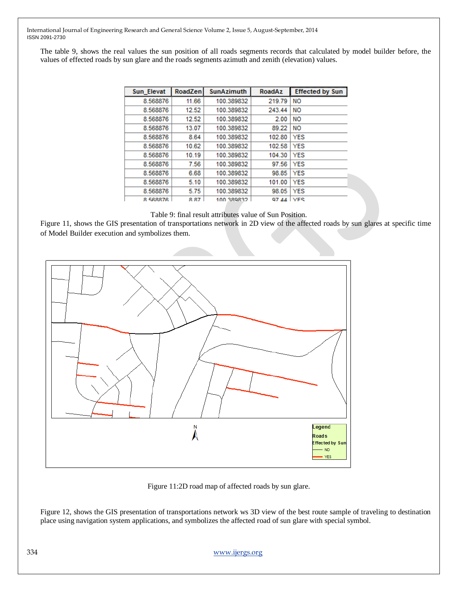The table 9, shows the real values the sun position of all roads segments records that calculated by model builder before, the values of effected roads by sun glare and the roads segments azimuth and zenith (elevation) values.

| Sun Elevat | RoadZen | <b>SunAzimuth</b> | <b>RoadAz</b> | <b>Effected by Sun</b> |
|------------|---------|-------------------|---------------|------------------------|
| 8.568876   | 11.66   | 100.389832        | 219.79        | <b>NO</b>              |
| 8.568876   | 12.52   | 100.389832        | 243.44        | <b>NO</b>              |
| 8.568876   | 12.52   | 100.389832        | 2.00          | <b>NO</b>              |
| 8.568876   | 13.07   | 100.389832        | 89.22         | <b>NO</b>              |
| 8.568876   | 8.64    | 100.389832        | 102.80        | YES                    |
| 8.568876   | 10.62   | 100.389832        | 102.58        | YES                    |
| 8.568876   | 10.19   | 100.389832        | 104.30        | YES                    |
| 8.568876   | 7.56    | 100.389832        | 97.56         | YES                    |
| 8.568876   | 6.68    | 100.389832        | 98.85         | YES                    |
| 8.568876   | 5.10    | 100.389832        | 101.00        | YES                    |
| 8.568876   | 5.75    | 100.389832        | 98.05         | YES                    |
| 8 568876   | 8.87    | 100.389832        | Q7 44         | <b>VFS</b>             |

#### Table 9: final result attributes value of Sun Position.

Figure 11, shows the GIS presentation of transportations network in 2D view of the affected roads by sun glares at specific time of Model Builder execution and symbolizes them.



Figure 11:2D road map of affected roads by sun glare.

Figure 12, shows the GIS presentation of transportations network ws 3D view of the best route sample of traveling to destination place using navigation system applications, and symbolizes the affected road of sun glare with special symbol.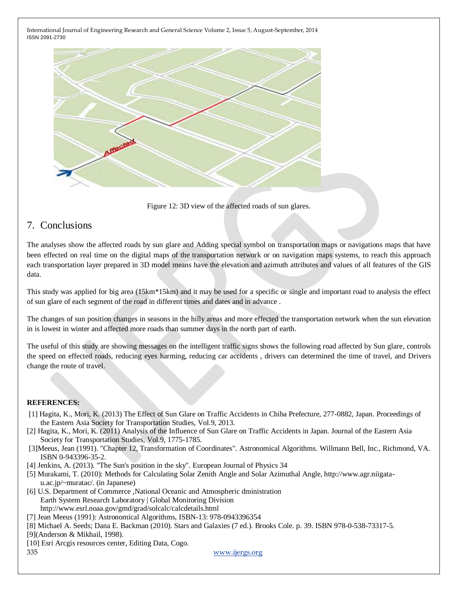

Figure 12: 3D view of the affected roads of sun glares.

# 7. Conclusions

The analyses show the affected roads by sun glare and Adding special symbol on transportation maps or navigations maps that have been effected on real time on the digital maps of the transportation network or on navigation maps systems, to reach this approach each transportation layer prepared in 3D model means have the elevation and azimuth attributes and values of all features of the GIS data.

This study was applied for big area (15km\*15km) and it may be used for a specific or single and important road to analysis the effect of sun glare of each segment of the road in different times and dates and in advance .

The changes of sun position changes in seasons in the hilly areas and more effected the transportation network when the sun elevation in is lowest in winter and affected more roads than summer days in the north part of earth.

The useful of this study are showing messages on the intelligent traffic signs shows the following road affected by Sun glare, controls the speed on effected roads, reducing eyes harming, reducing car accidents , drivers can determined the time of travel, and Drivers change the route of travel.

#### **REFERENCES:**

- [1] Hagita, K., Mori, K. (2013) The Effect of Sun Glare on Traffic Accidents in Chiba Prefecture, 277-0882, Japan. Proceedings of the Eastern Asia Society for Transportation Studies, Vol.9, 2013.
- [2] Hagita, K., Mori, K. (2011) Analysis of the Influence of Sun Glare on Traffic Accidents in Japan. Journal of the Eastern Asia Society for Transportation Studies, Vol.9, 1775-1785.
- [3]Meeus, Jean (1991). "Chapter 12, Transformation of Coordinates". Astronomical Algorithms. Willmann Bell, Inc., Richmond, VA. [ISBN](http://en.wikipedia.org/wiki/International_Standard_Book_Number) [0-943396-35-2.](http://en.wikipedia.org/wiki/Special:BookSources/0-943396-35-2)
- [4] Jenkins, A. (2013). "The Sun's position in the sky". European Journal of Physics 34
- [5] Murakami, T. (2010): Methods for Calculating Solar Zenith Angle and Solar Azimuthal Angle, http://www.agr.niigatau.ac.jp/~muratac/. (in Japanese)
- [6] [U.S. Department of Commerce](http://www.doc.gov/) [,National Oceanic and Atmospheric dministration](http://www.noaa.gov/) [Earth System Research Laboratory](http://www.esrl.noaa.gov/) [| Global Monitoring Division](http://www.esrl.noaa.gov/gmd/) <http://www.esrl.noaa.gov/gmd/grad/solcalc/calcdetails.html>
- [7] Jean Meeus (1991): Astronomical Algorithms, ISBN-13: 978-0943396354
- [8] Michael A. Seeds; Dana E. Backman (2010). Stars and Galaxies (7 ed.). Brooks Cole. p. 39[. ISBN](http://en.wikipedia.org/wiki/International_Standard_Book_Number) [978-0-538-73317-5.](http://en.wikipedia.org/wiki/Special:BookSources/978-0-538-73317-5) [9](Anderson & Mikhail, 1998).
- [10] Esri Arcgis resources center, Editing Data, Cogo.